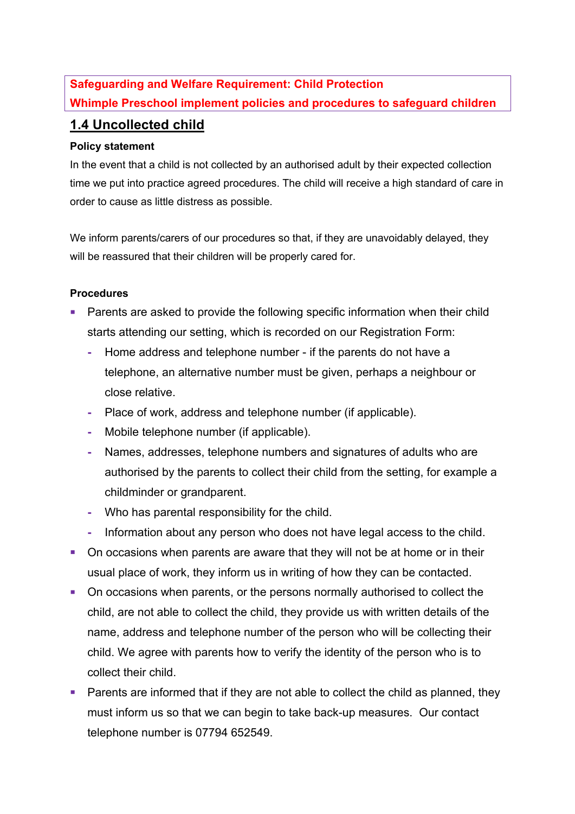## **Safeguarding and Welfare Requirement: Child Protection Whimple Preschool implement policies and procedures to safeguard children**

## **1.4 Uncollected child**

## **Policy statement**

In the event that a child is not collected by an authorised adult by their expected collection time we put into practice agreed procedures. The child will receive a high standard of care in order to cause as little distress as possible.

We inform parents/carers of our procedures so that, if they are unavoidably delayed, they will be reassured that their children will be properly cared for.

## **Procedures**

- Parents are asked to provide the following specific information when their child starts attending our setting, which is recorded on our Registration Form:
	- **-** Home address and telephone number if the parents do not have a telephone, an alternative number must be given, perhaps a neighbour or close relative.
	- **-** Place of work, address and telephone number (if applicable).
	- **-** Mobile telephone number (if applicable).
	- **-** Names, addresses, telephone numbers and signatures of adults who are authorised by the parents to collect their child from the setting, for example a childminder or grandparent.
	- **-** Who has parental responsibility for the child.
	- **-** Information about any person who does not have legal access to the child.
- On occasions when parents are aware that they will not be at home or in their usual place of work, they inform us in writing of how they can be contacted.
- On occasions when parents, or the persons normally authorised to collect the child, are not able to collect the child, they provide us with written details of the name, address and telephone number of the person who will be collecting their child. We agree with parents how to verify the identity of the person who is to collect their child.
- Parents are informed that if they are not able to collect the child as planned, they must inform us so that we can begin to take back-up measures. Our contact telephone number is 07794 652549.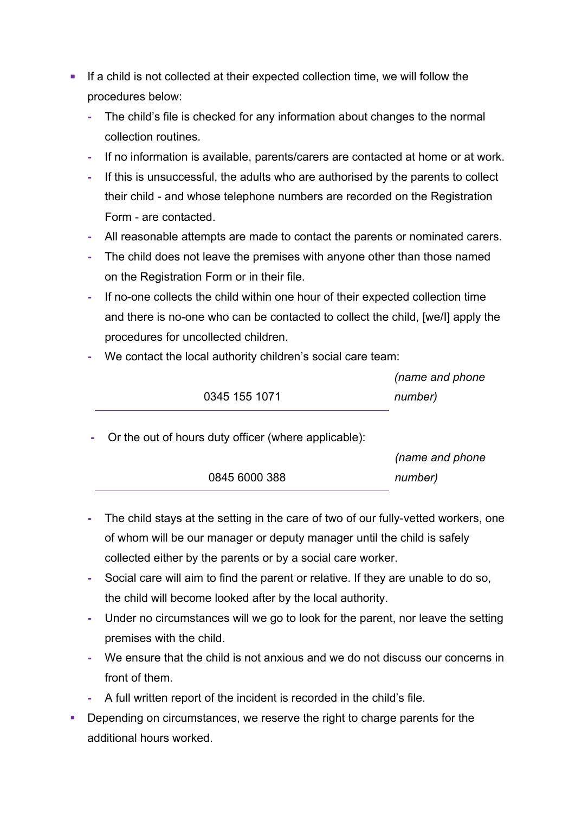- If a child is not collected at their expected collection time, we will follow the procedures below:
	- **-** The child's file is checked for any information about changes to the normal collection routines.
	- **-** If no information is available, parents/carers are contacted at home or at work.
	- **-** If this is unsuccessful, the adults who are authorised by the parents to collect their child - and whose telephone numbers are recorded on the Registration Form - are contacted.
	- **-** All reasonable attempts are made to contact the parents or nominated carers.
	- **-** The child does not leave the premises with anyone other than those named on the Registration Form or in their file.
	- **-** If no-one collects the child within one hour of their expected collection time and there is no-one who can be contacted to collect the child, [we/I] apply the procedures for uncollected children.
	- **-** We contact the local authority children's social care team:

0345 155 1071

| (name and phone |
|-----------------|
| number)         |

**-** Or the out of hours duty officer (where applicable):

|               | (name and phone |
|---------------|-----------------|
| 0845 6000 388 | number)         |
|               |                 |

- **-** The child stays at the setting in the care of two of our fully-vetted workers, one of whom will be our manager or deputy manager until the child is safely collected either by the parents or by a social care worker.
- **-** Social care will aim to find the parent or relative. If they are unable to do so, the child will become looked after by the local authority.
- **-** Under no circumstances will we go to look for the parent, nor leave the setting premises with the child.
- **-** We ensure that the child is not anxious and we do not discuss our concerns in front of them.
- **-** A full written report of the incident is recorded in the child's file.
- Depending on circumstances, we reserve the right to charge parents for the additional hours worked.